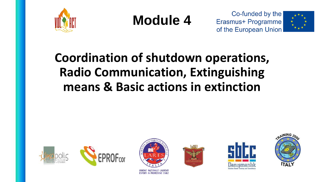

**Module 4**





## **Coordination of shutdown operations, Radio Communication, Extinguishing means & Basic actions in extinction**











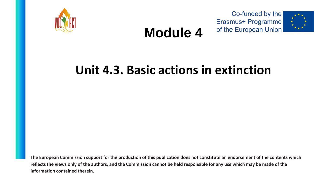





## **Module 4**

### **Unit 4.3. Basic actions in extinction**

**The European Commission support for the production of this publication does not constitute an endorsement of the contents which reflects the views only of the authors, and the Commission cannot be held responsible for any use which may be made of the information contained therein.**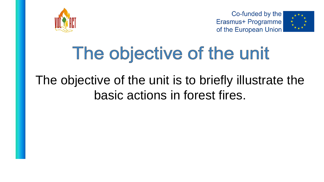



# The objective of the unit

# The objective of the unit is to briefly illustrate the basic actions in forest fires.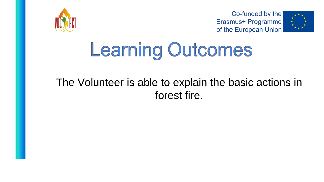



# **Learning Outcomes**

### The Volunteer is able to explain the basic actions in forest fire.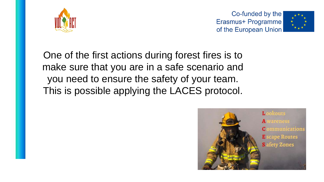



One of the first actions during forest fires is to make sure that you are in a safe scenario and you need to ensure the safety of your team. This is possible applying the LACES protocol.

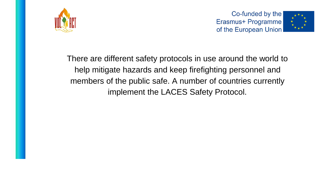



There are different safety protocols in use around the world to help mitigate hazards and keep firefighting personnel and members of the public safe. A number of countries currently implement the LACES Safety Protocol.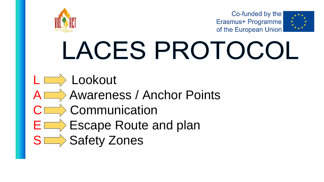



# LACES PROTOCOL

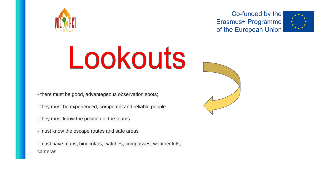





- there must be good, advantageous observation spots;

- they must be experienced, competent and reliable people

- they must know the position of the teams
- must know the escape routes and safe areas

- must have maps, binoculars, watches, compasses, weather kits, cameras

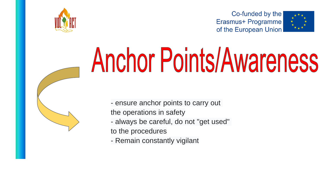

# **Anchor Points/Awareness**





- ensure anchor points to carry out the operations in safety - always be careful, do not "get used"

- to the procedures
- Remain constantly vigilant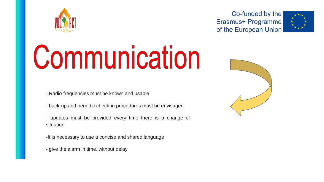



# Communication

- Radio frequencies must be known and usable

- back-up and periodic check-in procedures must be envisaged

- updates must be provided every time there is a change of situation

-It is necessary to use a concise and shared language

- give the alarm in time, without delay

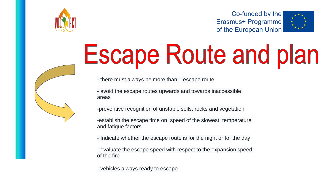

# **Escape Route and plan**

- there must always be more than 1 escape route

- avoid the escape routes upwards and towards inaccessible areas

-preventive recognition of unstable soils, rocks and vegetation

-establish the escape time on: speed of the slowest, temperature and fatigue factors

- Indicate whether the escape route is for the night or for the day

- evaluate the escape speed with respect to the expansion speed of the fire

- vehicles always ready to escape

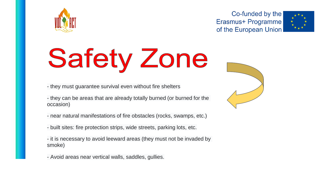



# **Safety Zone**

- they must guarantee survival even without fire shelters
- they can be areas that are already totally burned (or burned for the occasion)
- near natural manifestations of fire obstacles (rocks, swamps, etc.)
- built sites: fire protection strips, wide streets, parking lots, etc.
- it is necessary to avoid leeward areas (they must not be invaded by smoke)
- Avoid areas near vertical walls, saddles, gullies.

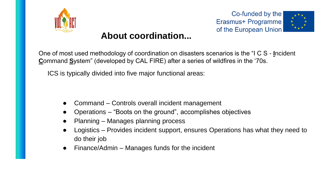



#### **About coordination...**

One of most used methodology of coordination on disasters scenarios is the "I C S - **I**ncident **C**ommand **S**ystem" (developed by CAL FIRE) after a series of wildfires in the '70s.

ICS is typically divided into five major functional areas:

- Command Controls overall incident management
- Operations "Boots on the ground", accomplishes objectives
- Planning Manages planning process
- Logistics Provides incident support, ensures Operations has what they need to do their job
- $Financial$  Manages funds for the incident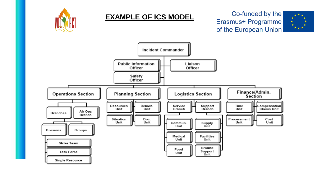

#### **EXAMPLE OF ICS MODEL**

#### Co-funded by the Erasmus+ Programme of the European Union



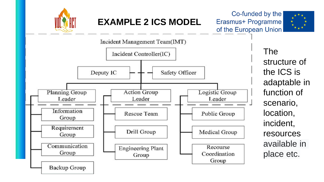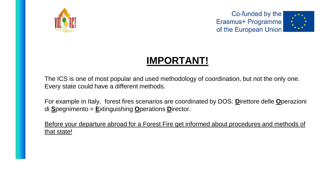



### **IMPORTANT!**

The ICS is one of most popular and used methodology of coordination, but not the only one. Every state could have a different methods.

For example in Italy, forest fires scenarios are coordinated by DOS: **D**irettore delle **O**perazioni di **S**pegnimento = **E**xtinguishing **O**perations **D**irector.

Before your departure abroad for a Forest Fire get informed about procedures and methods of that state!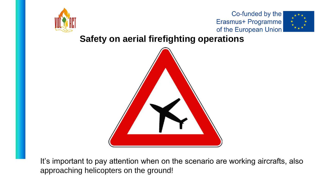



#### **Safety on aerial firefighting operations**



It's important to pay attention when on the scenario are working aircrafts, also approaching helicopters on the ground!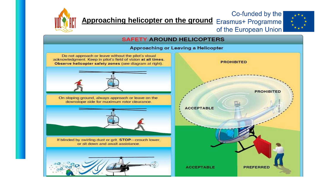

**Approaching helicopter on the ground** Erasmus+ Programme



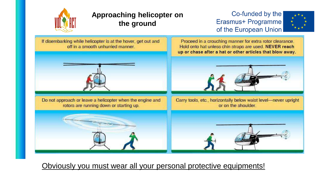

#### **Approaching helicopter on the ground**

#### Co-funded by the Erasmus+ Programme of the European Union



If disembarking while helicopter is at the hover, get out and Proceed in a crouching manner for extra rotor clearance. off in a smooth unhurried manner. Hold onto hat unless chin straps are used. NEVER reach up or chase after a hat or other articles that blow away. Do not approach or leave a helicopter when the engine and Carry tools, etc., horizontally below waist level-never upright rotors are running down or starting up. or on the shoulder.

Obviously you must wear all your personal protective equipments!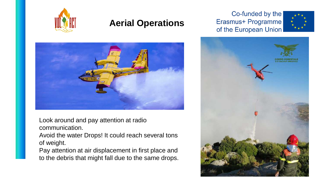

#### **Aerial Operations**

#### Co-funded by the Erasmus+ Programme of the European Union





Look around and pay attention at radio communication.

Avoid the water Drops! It could reach several tons of weight.

Pay attention at air displacement in first place and to the debris that might fall due to the same drops.

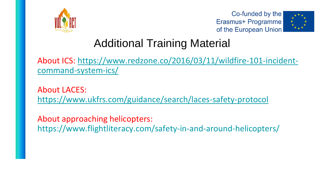



### Additional Training Material

[About ICS: https://www.redzone.co/2016/03/11/wildfire-101-incident](https://www.redzone.co/2016/03/11/wildfire-101-incident-command-system-ics/)command-system-ics/

About LACES: <https://www.ukfrs.com/guidance/search/laces-safety-protocol>

About approaching helicopters: https://www.flightliteracy.com/safety-in-and-around-helicopters/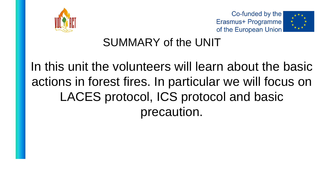





### SUMMARY of the UNIT

In this unit the volunteers will learn about the basic actions in forest fires. In particular we will focus on LACES protocol, ICS protocol and basic precaution.